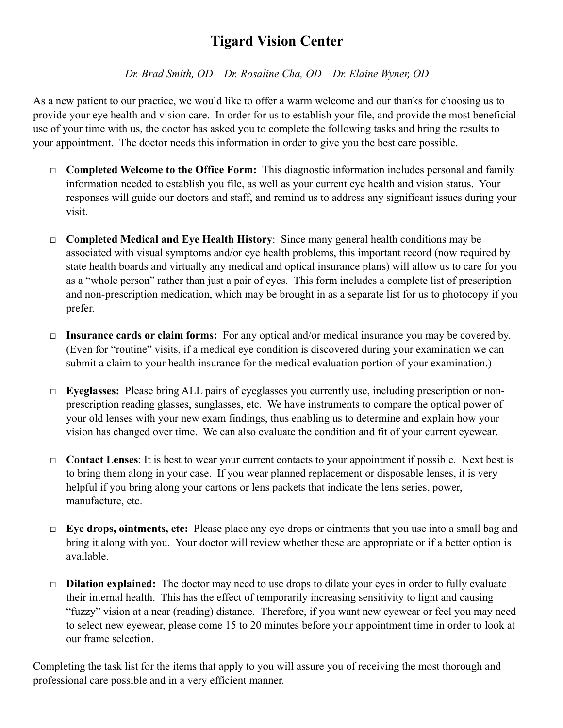## **Tigard Vision Center**

*Dr. Brad Smith, OD Dr. Rosaline Cha, OD Dr. Elaine Wyner, OD* 

As a new patient to our practice, we would like to offer a warm welcome and our thanks for choosing us to provide your eye health and vision care. In order for us to establish your file, and provide the most beneficial use of your time with us, the doctor has asked you to complete the following tasks and bring the results to your appointment. The doctor needs this information in order to give you the best care possible.

- □ **Completed Welcome to the Office Form:** This diagnostic information includes personal and family information needed to establish you file, as well as your current eye health and vision status. Your responses will guide our doctors and staff, and remind us to address any significant issues during your visit.
- □ **Completed Medical and Eye Health History**: Since many general health conditions may be associated with visual symptoms and/or eye health problems, this important record (now required by state health boards and virtually any medical and optical insurance plans) will allow us to care for you as a "whole person" rather than just a pair of eyes. This form includes a complete list of prescription and non-prescription medication, which may be brought in as a separate list for us to photocopy if you prefer.
- □ **Insurance cards or claim forms:** For any optical and/or medical insurance you may be covered by. (Even for "routine" visits, if a medical eye condition is discovered during your examination we can submit a claim to your health insurance for the medical evaluation portion of your examination.)
- □ **Eyeglasses:** Please bring ALL pairs of eyeglasses you currently use, including prescription or nonprescription reading glasses, sunglasses, etc. We have instruments to compare the optical power of your old lenses with your new exam findings, thus enabling us to determine and explain how your vision has changed over time. We can also evaluate the condition and fit of your current eyewear.
- □ **Contact Lenses**: It is best to wear your current contacts to your appointment if possible. Next best is to bring them along in your case. If you wear planned replacement or disposable lenses, it is very helpful if you bring along your cartons or lens packets that indicate the lens series, power, manufacture, etc.
- □ **Eye drops, ointments, etc:** Please place any eye drops or ointments that you use into a small bag and bring it along with you. Your doctor will review whether these are appropriate or if a better option is available.
- □ **Dilation explained:** The doctor may need to use drops to dilate your eyes in order to fully evaluate their internal health. This has the effect of temporarily increasing sensitivity to light and causing "fuzzy" vision at a near (reading) distance. Therefore, if you want new eyewear or feel you may need to select new eyewear, please come 15 to 20 minutes before your appointment time in order to look at our frame selection.

Completing the task list for the items that apply to you will assure you of receiving the most thorough and professional care possible and in a very efficient manner.